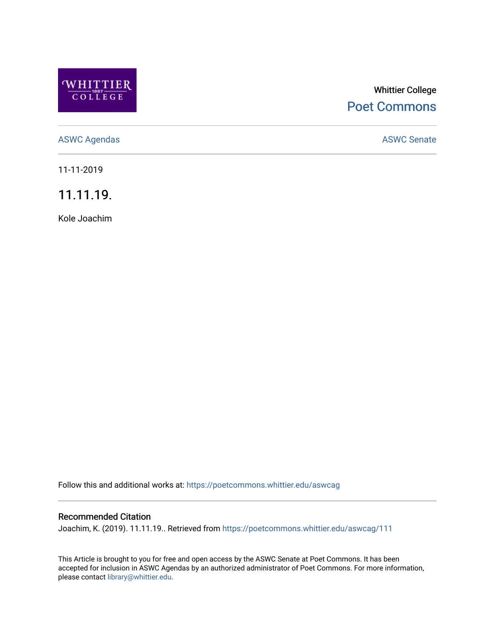

# Whittier College [Poet Commons](https://poetcommons.whittier.edu/)

[ASWC Agendas](https://poetcommons.whittier.edu/aswcag) **ASWC Senate** 

11-11-2019

11.11.19.

Kole Joachim

Follow this and additional works at: [https://poetcommons.whittier.edu/aswcag](https://poetcommons.whittier.edu/aswcag?utm_source=poetcommons.whittier.edu%2Faswcag%2F111&utm_medium=PDF&utm_campaign=PDFCoverPages) 

## Recommended Citation

Joachim, K. (2019). 11.11.19.. Retrieved from [https://poetcommons.whittier.edu/aswcag/111](https://poetcommons.whittier.edu/aswcag/111?utm_source=poetcommons.whittier.edu%2Faswcag%2F111&utm_medium=PDF&utm_campaign=PDFCoverPages) 

This Article is brought to you for free and open access by the ASWC Senate at Poet Commons. It has been accepted for inclusion in ASWC Agendas by an authorized administrator of Poet Commons. For more information, please contact [library@whittier.edu](mailto:library@whittier.edu).